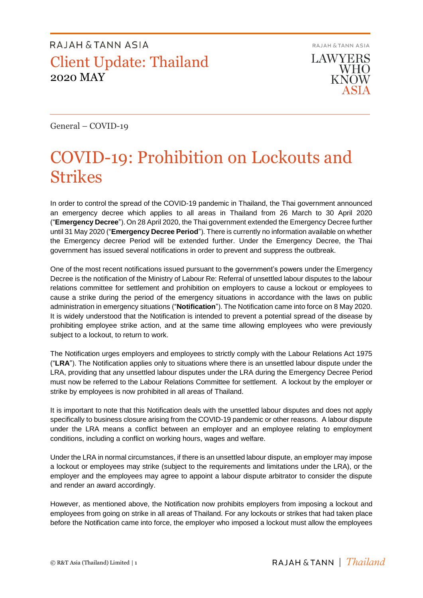RAJAH & TANN ASIA **LAWYERS WHO KNOW** 

General – COVID-19

# COVID-19: Prohibition on Lockouts and Strikes

In order to control the spread of the COVID-19 pandemic in Thailand, the Thai government announced an emergency decree which applies to all areas in Thailand from 26 March to 30 April 2020 ("**Emergency Decree**"). On 28 April 2020, the Thai government extended the Emergency Decree further until 31 May 2020 ("**Emergency Decree Period**"). There is currently no information available on whether the Emergency decree Period will be extended further. Under the Emergency Decree, the Thai government has issued several notifications in order to prevent and suppress the outbreak.

One of the most recent notifications issued pursuant to the government's powers under the Emergency Decree is the notification of the Ministry of Labour Re: Referral of unsettled labour disputes to the labour relations committee for settlement and prohibition on employers to cause a lockout or employees to cause a strike during the period of the emergency situations in accordance with the laws on public administration in emergency situations ("**Notification**"). The Notification came into force on 8 May 2020. It is widely understood that the Notification is intended to prevent a potential spread of the disease by prohibiting employee strike action, and at the same time allowing employees who were previously subject to a lockout, to return to work.

The Notification urges employers and employees to strictly comply with the Labour Relations Act 1975 ("**LRA**"). The Notification applies only to situations where there is an unsettled labour dispute under the LRA, providing that any unsettled labour disputes under the LRA during the Emergency Decree Period must now be referred to the Labour Relations Committee for settlement. A lockout by the employer or strike by employees is now prohibited in all areas of Thailand.

It is important to note that this Notification deals with the unsettled labour disputes and does not apply specifically to business closure arising from the COVID-19 pandemic or other reasons. A labour dispute under the LRA means a conflict between an employer and an employee relating to employment conditions, including a conflict on working hours, wages and welfare.

Under the LRA in normal circumstances, if there is an unsettled labour dispute, an employer may impose a lockout or employees may strike (subject to the requirements and limitations under the LRA), or the employer and the employees may agree to appoint a labour dispute arbitrator to consider the dispute and render an award accordingly.

However, as mentioned above, the Notification now prohibits employers from imposing a lockout and employees from going on strike in all areas of Thailand. For any lockouts or strikes that had taken place before the Notification came into force, the employer who imposed a lockout must allow the employees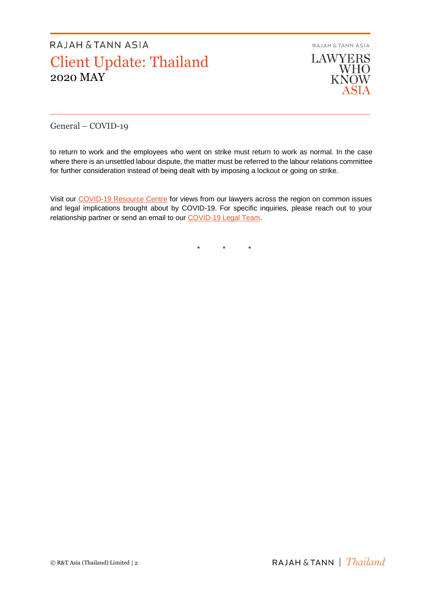**RAJAH & TANN ASIA LAWYERS** WHO<br>KNOW

ASIA

General – COVID-19

to return to work and the employees who went on strike must return to work as normal. In the case where there is an unsettled labour dispute, the matter must be referred to the labour relations committee for further consideration instead of being dealt with by imposing a lockout or going on strike.

Visit our [COVID-19 Resource Centre](https://www.rajahtannasia.com/resource-centre/covid-19) for views from our lawyers across the region on common issues and legal implications brought about by COVID-19. For specific inquiries, please reach out to your relationship partner or send an email to our [COVID-19 Legal Team.](mailto:covid-19legalteam@rajahtann.com)

\* \* \*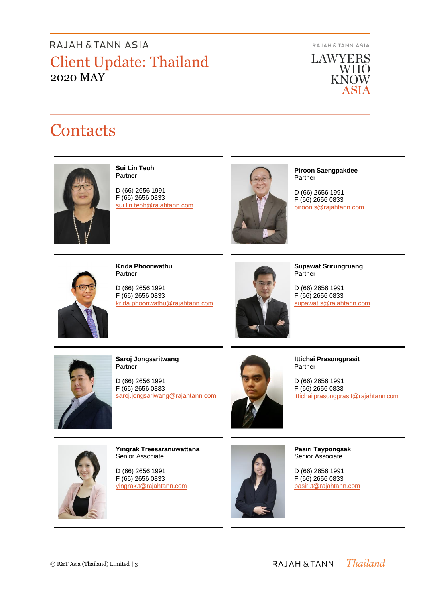RAJAH & TANN ASIA

**LAWYERS** WHO<br>KNOW **ASIA** 

# **Contacts**



**Sui Lin Teoh** Partner

D (66) 2656 1991 F (66) 2656 0833 [sui.lin.teoh@rajahtann.com](mailto:sui.lin.teoh@rajahtann.com)



**Piroon Saengpakdee** Partner

D (66) 2656 1991 F (66) 2656 0833 piroon.s@rajahtann.com



**Krida Phoonwathu** Partner

D (66) 2656 1991 F (66) 2656 0833 [krida.phoonwathu@rajahtann.com](mailto:krida.phoonwathu@rajahtann.com)



**Supawat Srirungruang Partner** 

D (66) 2656 1991 F (66) 2656 0833 [supawat.s@rajahtann.com](mailto:supawat.s@rajahtann.com)



**Saroj Jongsaritwang Partner** 

D (66) 2656 1991 F (66) 2656 0833 [saroj.jongsariwang@rajahtann.com](mailto:saroj.jongsariwang@rajahtann.com)



**Ittichai Prasongprasit** Partner

D (66) 2656 1991 F (66) 2656 0833 ittichai.prasongprasit@rajahtann.com



**Yingrak Treesaranuwattana** Senior Associate

D (66) 2656 1991 F (66) 2656 0833 [yingrak.t@rajahtann.com](mailto:yingrak.t@rajahtann.com)



**Pasiri Taypongsak** Senior Associate

D (66) 2656 1991 F (66) 2656 0833 [pasiri.t@rajahtann.com](mailto:pasiri.t@rajahtann.com)

RAJAH & TANN | *Thailand*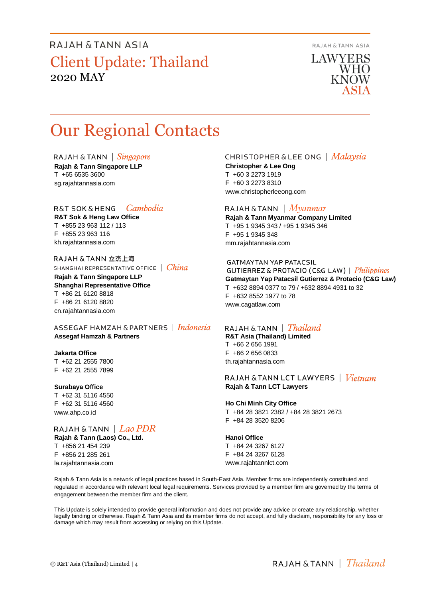RAJAH & TANN ASIA

**LAWYERS WHO KNOW** 

# Our Regional Contacts

RAJAH & TANN  $\int$  *Singapore* 

**Rajah & Tann Singapore LLP** T +65 6535 3600 sg.rajahtannasia.com

## R&T SOK&HENG | Cambodia

**R&T Sok & Heng Law Office** T +855 23 963 112 / 113 F +855 23 963 116 kh.rajahtannasia.com

RAJAH & TANN 立杰上海 SHANGHAI REPRESENTATIVE OFFICE | China

**Rajah & Tann Singapore LLP Shanghai Representative Office** T +86 21 6120 8818 F +86 21 6120 8820 cn.rajahtannasia.com

ASSEGAF HAMZAH & PARTNERS | Indonesia **Assegaf Hamzah & Partners**

### **Jakarta Office**

T +62 21 2555 7800 F +62 21 2555 7899

#### **Surabaya Office**

T +62 31 5116 4550 F +62 31 5116 4560 www.ahp.co.id

## RAJAH & TANN  $|$   $Lao$   $PDR$

**Rajah & Tann (Laos) Co., Ltd.** T +856 21 454 239 F +856 21 285 261 la.rajahtannasia.com

### **CHRISTOPHER & LEE ONG** | Malaysia

**Christopher & Lee Ong** T +60 3 2273 1919 F +60 3 2273 8310 www.christopherleeong.com

### RAJAH & TANN  $\mid$  *Myanmar*

**Rajah & Tann Myanmar Company Limited** T +95 1 9345 343 / +95 1 9345 346 F +95 1 9345 348 mm.rajahtannasia.com

### **GATMAYTAN YAP PATACSIL**

**GUTIERREZ & PROTACIO (C&G LAW)** | *Philippines* **Gatmaytan Yap Patacsil Gutierrez & Protacio (C&G Law)**  T +632 8894 0377 to 79 / +632 8894 4931 to 32 F +632 8552 1977 to 78 www.cagatlaw.com

## RAJAH & TANN | *Thailand*

**R&T Asia (Thailand) Limited** T +66 2 656 1991 F +66 2 656 0833 th.rajahtannasia.com

### RAJAH & TANN LCT LAWYERS | *Vietnam* **Rajah & Tann LCT Lawyers**

### **Ho Chi Minh City Office**

T +84 28 3821 2382 / +84 28 3821 2673 F +84 28 3520 8206

#### **Hanoi Office**

T +84 24 3267 6127 F +84 24 3267 6128 www.rajahtannlct.com

Rajah & Tann Asia is a network of legal practices based in South-East Asia. Member firms are independently constituted and regulated in accordance with relevant local legal requirements. Services provided by a member firm are governed by the terms of engagement between the member firm and the client.

This Update is solely intended to provide general information and does not provide any advice or create any relationship, whether legally binding or otherwise. Rajah & Tann Asia and its member firms do not accept, and fully disclaim, responsibility for any loss or damage which may result from accessing or relying on this Update.

RAJAH & TANN  $\parallel$  Thailand